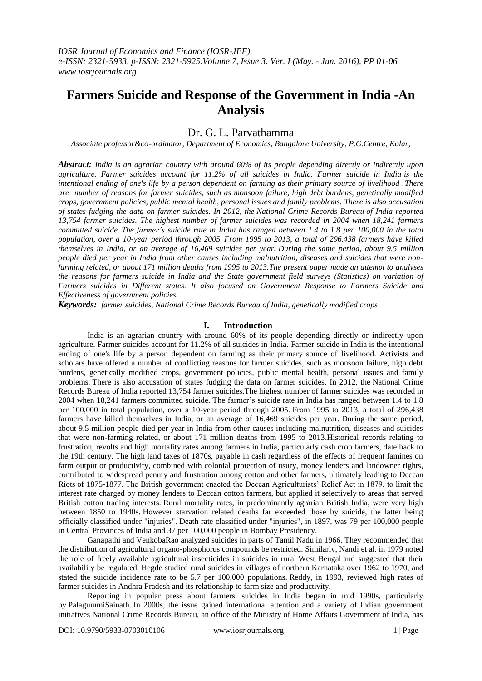# **Farmers Suicide and Response of the Government in India -An Analysis**

# Dr. G. L. Parvathamma

*Associate professor&co-ordinator, Department of Economics, Bangalore University, P.G.Centre, Kolar,*

*Abstract: India is an agrarian country with around 60% of its people depending directly or indirectly upon agriculture. Farmer suicides account for 11.2% of all suicides in India. Farmer suicide in India is the intentional ending of one's life by a person dependent on farming as their primary source of livelihood .There are number of reasons for farmer suicides, such as monsoon failure, high debt burdens, genetically modified crops, government policies, public mental health, personal issues and family problems. There is also accusation of states fudging the data on farmer suicides. In 2012, the [National Crime Records Bureau](https://en.wikipedia.org/wiki/National_Crime_Records_Bureau) of India reported 13,754 farmer suicides. The highest number of farmer suicides was recorded in 2004 when 18,241 farmers committed suicide. The farmer's suicide rate in India has ranged between 1.4 to 1.8 per 100,000 in the total population, over a 10-year period through 2005. From 1995 to 2013, a total of 296,438 farmers have killed themselves in India, or an average of 16,469 suicides per year. During the same period, about 9.5 million people died per year in India from other causes including malnutrition, diseases and suicides that were nonfarming related, or about 171 million deaths from 1995 to 2013.The present paper made an attempt to analyses the reasons for farmers suicide in India and the State government field surveys (Statistics) on variation of Farmers suicides in Different states. It also focused on Government Response to Farmers Suicide and Effectiveness of government policies.*

*Keywords: [farmer suicides,](http://www.thehindu.com/news/national/karnataka/25-farmers-committed-suicide-in-karnataka-every-month/article3815181.ece) [National Crime Records Bureau](https://en.wikipedia.org/wiki/National_Crime_Records_Bureau) of India, genetically modified crops*

# **I. Introduction**

India is an agrarian country with around 60% of its people depending directly or indirectly upon agriculture. Farmer suicides account for 11.2% of all suicides in India. Farmer suicide in India is the intentional ending of one's life by a person dependent on farming as their primary source of livelihood. Activists and scholars have offered a number of conflicting reasons for farmer suicides, such as monsoon failure, high debt burdens, genetically modified crops, government policies, public mental health, personal issues and family problems. There is also accusation of states fudging the data on farmer suicides. In 2012, the [National Crime](https://en.wikipedia.org/wiki/National_Crime_Records_Bureau)  [Records Bureau](https://en.wikipedia.org/wiki/National_Crime_Records_Bureau) of India reported 13,754 farmer suicides.The highest number of farmer suicides was recorded in 2004 when 18,241 farmers committed suicide. The farmer"s suicide rate in India has ranged between 1.4 to 1.8 per 100,000 in total population, over a 10-year period through 2005. From 1995 to 2013, a total of 296,438 farmers have killed themselves in India, or an average of 16,469 suicides per year. During the same period, about 9.5 million people died per year in India from other causes including malnutrition, diseases and suicides that were non-farming related, or about 171 million deaths from 1995 to 2013.Historical records relating to frustration, revolts and high mortality rates among farmers in India, particularly cash crop farmers, date back to the 19th century. The high land taxes of 1870s, payable in cash regardless of the effects of frequent famines on farm output or productivity, combined with colonial protection of usury, money lenders and landowner rights, contributed to widespread penury and frustration among cotton and other farmers, ultimately leading to [Deccan](https://en.wikipedia.org/wiki/Deccan_Riots)  [Riots](https://en.wikipedia.org/wiki/Deccan_Riots) of 1875-1877. The British government enacted the Deccan Agriculturists" Relief Act in 1879, to limit the interest rate charged by money lenders to Deccan cotton farmers, but applied it selectively to areas that served British cotton trading interests. Rural mortality rates, in predominantly agrarian British India, were very high between 1850 to 1940s. However starvation related deaths far exceeded those by suicide, the latter being officially classified under "injuries". Death rate classified under "injuries", in 1897, was 79 per 100,000 people in [Central Provinces](https://en.wikipedia.org/wiki/Central_Provinces) of India and 37 per 100,000 people in [Bombay Presidency.](https://en.wikipedia.org/wiki/Bombay_Presidency)

Ganapathi and VenkobaRao analyzed suicides in parts of [Tamil Nadu](https://en.wikipedia.org/wiki/Tamil_Nadu) in 1966. They recommended that the distribution of agricultural organo-phosphorus compounds be restricted. Similarly, Nandi et al. in 1979 noted the role of freely available agricultural insecticides in suicides in rural [West Bengal](https://en.wikipedia.org/wiki/West_Bengal) and suggested that their availability be regulated. Hegde studied rural suicides in villages of northern [Karnataka](https://en.wikipedia.org/wiki/Karnataka) over 1962 to 1970, and stated the suicide incidence rate to be 5.7 per 100,000 populations. Reddy, in 1993, reviewed high rates of farmer suicides in Andhra Pradesh and its relationship to farm size and productivity.

Reporting in popular press about farmers' suicides in India began in mid 1990s, particularly by [PalagummiSainath.](https://en.wikipedia.org/wiki/Palagummi_Sainath) In 2000s, the issue gained international attention and a variety of Indian government initiatives National Crime Records Bureau, an office of the Ministry of Home Affairs Government of India, has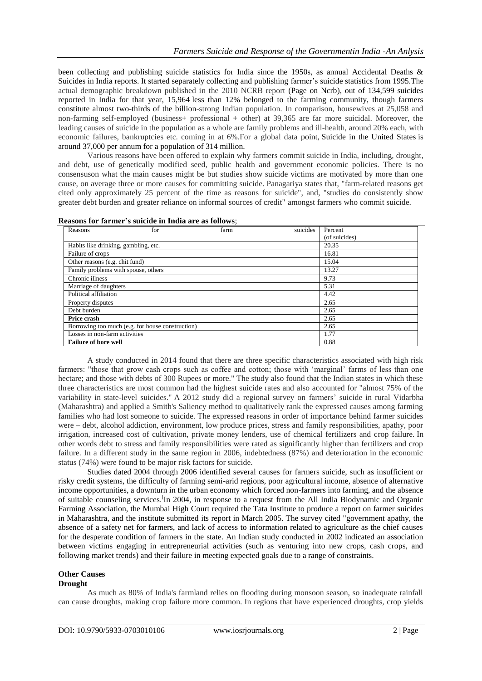been collecting and publishing suicide statistics for India since the 1950s, as annual Accidental Deaths & Suicides in India reports. It started separately collecting and publishing farmer's suicide statistics from 1995. The actual demographic breakdown published in the 2010 NCRB report [\(Page on Ncrb\)](http://ncrb.nic.in/ADSI2010/table-2.11.pdf), out of 134,599 suicides reported in India for that year, 15,964 less than 12% belonged to the farming community, though farmers constitute almost two-thirds of the billion-strong Indian population. In comparison, housewives at 25,058 and non-farming self-employed (business+ professional + other) at 39,365 are far more suicidal. Moreover, the leading causes of suicide in the population as a whole are family problems and ill-health, around 20% each, with economic failures, bankruptcies etc. coming in at 6%.For a global data point, [Suicide in the United States](http://en.wikipedia.org/wiki/Suicide_in_the_United_States) is around 37,000 per annum for a population of 314 million.

Various reasons have been offered to explain why farmers commit suicide in India, including, drought, and debt, use of genetically modified seed, public health and government economic policies. There is no consensuson what the main causes might be but studies show suicide victims are motivated by more than one cause, on average three or more causes for committing suicide. Panagariya states that, "farm-related reasons get cited only approximately 25 percent of the time as reasons for suicide", and, "studies do consistently show greater debt burden and greater reliance on informal sources of credit" amongst farmers who commit suicide.

| Reasons                                          | for | farm | suicides | Percent       |
|--------------------------------------------------|-----|------|----------|---------------|
|                                                  |     |      |          | (of suicides) |
| Habits like drinking, gambling, etc.             |     |      |          | 20.35         |
| Failure of crops                                 |     |      |          | 16.81         |
| Other reasons (e.g. chit fund)                   |     |      |          | 15.04         |
| Family problems with spouse, others              |     |      |          | 13.27         |
| Chronic illness                                  |     |      |          | 9.73          |
| Marriage of daughters                            |     |      |          | 5.31          |
| Political affiliation                            |     |      |          | 4.42          |
| Property disputes                                |     |      |          | 2.65          |
| Debt burden                                      |     |      |          | 2.65          |
| Price crash                                      |     |      |          | 2.65          |
| Borrowing too much (e.g. for house construction) |     |      |          | 2.65          |
| Losses in non-farm activities                    |     |      |          | 1.77          |
| <b>Failure of bore well</b>                      |     |      |          | 0.88          |

#### **Reasons for farmer's suicide in India are as follows**;

A study conducted in 2014 found that there are three specific characteristics associated with high risk farmers: "those that grow cash crops such as coffee and cotton; those with 'marginal' farms of less than one hectare; and those with debts of 300 Rupees or more." The study also found that the Indian states in which these three characteristics are most common had the highest suicide rates and also accounted for "almost 75% of the variability in state-level suicides." A 2012 study did a regional survey on farmers" suicide in rural Vidarbha (Maharashtra) and applied a Smith's Saliency method to qualitatively rank the expressed causes among farming families who had lost someone to suicide. The expressed reasons in order of importance behind farmer suicides were – debt, alcohol addiction, environment, low produce prices, stress and family responsibilities, apathy, poor irrigation, increased cost of cultivation, private money lenders, use of chemical fertilizers and crop failure. In other words debt to stress and family responsibilities were rated as significantly higher than fertilizers and crop failure. In a different study in the same region in 2006, indebtedness (87%) and deterioration in the economic status (74%) were found to be major risk factors for suicide.

Studies dated 2004 through 2006 identified several causes for farmers suicide, such as insufficient or risky credit systems, the difficulty of farming semi-arid regions, poor agricultural income, absence of alternative income opportunities, a downturn in the urban economy which forced non-farmers into farming, and the absence of suitable counseling services[.](https://en.wikipedia.org/wiki/Farmers%27_suicides_in_India#cite_note-Mishra.2C_Srijit_2007-28)<sup>[I</sup>n 2004, in response to a request from the All India Biodynamic and Organic Farming Association, the Mumbai High Court required the [Tata Institute](https://en.wikipedia.org/wiki/Tata_Institute_of_Social_Sciences) to produce a report on farmer suicides in Maharashtra, and the institute submitted its report in March 2005. The survey cited "government apathy, the absence of a safety net for farmers, and lack of access to information related to agriculture as the chief causes for the desperate condition of farmers in the state. An Indian study conducted in 2002 indicated an association between victims engaging in entrepreneurial activities (such as venturing into new crops, cash crops, and following market trends) and their failure in meeting expected goals due to a range of constraints.

#### **Other Causes Drought**

As much as 80% of India's farmland relies on flooding during monsoon season, so inadequate rainfall can cause droughts, making crop failure more common. In regions that have experienced droughts, crop yields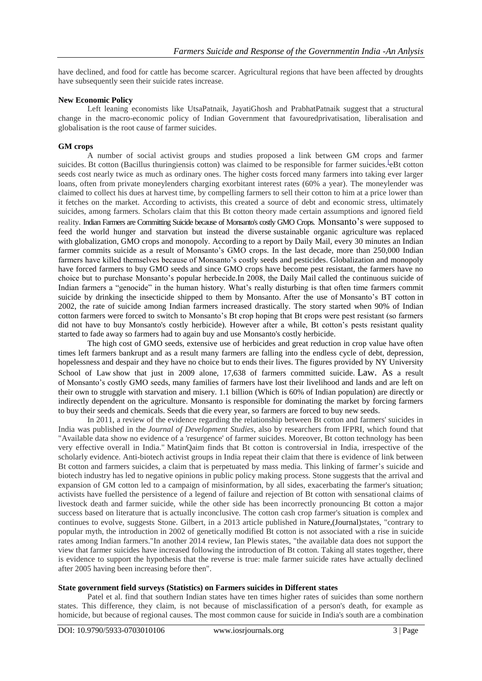have declined, and food for cattle has become scarcer. Agricultural regions that have been affected by droughts have subsequently seen their suicide rates increase.

#### **New Economic Policy**

Left leaning economists like UtsaPatnaik, JayatiGhosh and PrabhatPatnaik suggest that a structural change in the macro-economic policy of Indian Government that favouredprivatisation, liberalisation and globalisation is the root cause of farmer suicides.

# **GM crops**

A number of social activist groups and studies proposed a link between GM crops and farmer suicid[e](https://en.wikipedia.org/wiki/Farmers%27_suicides_in_India#cite_note-49)s. Bt cotton (Bacillus thuringiensis cotton) was claimed to be responsible for farmer suicides.<sup>1</sup>eBt cotton seeds cost nearly twice as much as ordinary ones. The higher costs forced many farmers into taking ever larger loans, often from private moneylenders charging exorbitant interest rates (60% a year). The moneylender was claimed to collect his dues at harvest time, by compelling farmers to sell their cotton to him at a price lower than it fetches on the market. According to activists, this created a source of debt and economic stress, ultimately suicides, among farmers. Scholars claim that this Bt cotton theory made certain assumptions and ignored field reality. Indian Farmers are Committing Suicide because of Monsanto's costly GMO Crops. Monsanto"s were supposed to feed the world hunger and starvation but instead the diverse [sustainable organic agriculture](http://www.seattleorganicrestaurants.com/vegan-whole-foods/genetically-modified-chickens/) was replaced with [globalization,](http://www.seattleorganicrestaurants.com/vegan-whole-foods/sunfood-procter-gamble/) [GMO crops](http://www.seattleorganicrestaurants.com/vegan-whole-foods/dupont-history/) and monopoly. According to a report by [Daily Mail,](http://www.dailymail.co.uk/news/article-1082559/The-GM-genocide-Thousands-Indian-farmers-committing-suicide-using-genetically-modified-crops.html) every 30 minutes an Indian farmer commits suicide as a result of Monsanto's GMO crops. In the last decade, more than 250,000 Indian farmers have killed themselves because of Monsanto"s costly [seeds and pesticides.](http://www.seattleorganicrestaurants.com/vegan-whole-foods/indian-farmers-committing-suicide-monsanto-gm-crops/www.seattleorganicrestaurants.com/vegan-whole-foods/top-10-toxic-foods-preservatives-additives/) Globalization and monopoly have forced farmers to buy [GMO seeds](http://www.seattleorganicrestaurants.com/vegan-whole-foods/gmo-harms-dangers/) and since GMO crops have become pest resistant, the farmers have no choice but to purchase Monsanto"s popular herbecide.In 2008, the [Daily Mail](http://www.dailymail.co.uk/news/article-1082559/The-GM-genocide-Thousands-Indian-farmers-committing-suicide-using-genetically-modified-crops.html) called the continuous suicide of Indian farmers a "genocide" in the human history. What's really disturbing is that often time farmers commit suicide by drinking the insecticide shipped to them by Monsanto. After the use of [Monsanto"s BT cotton](http://www.seattleorganicrestaurants.com/vegan-whole-foods/gmo-harms-dangers/) in 2002, the rate of suicide among Indian farmers increased drastically. The story started when 90% of Indian cotton farmers were forced to switch to Monsanto"s Bt crop hoping that Bt crops were pest resistant (so farmers did not have to buy Monsanto's costly herbicide). However after a while, Bt cotton"s pests resistant quality started to fade away so farmers had to again buy and use [Monsanto's](http://www.seattleorganicrestaurants.com/vegan-whole-foods/dark-history-monsanto/) costly herbicide.

The high cost of GMO seeds, extensive use of herbicides and great reduction in crop value have often times left farmers bankrupt and as a result many farmers are falling into the endless cycle of debt, [depression,](http://www.seattleorganicrestaurants.com/vegan-whole-foods/treating-stress-depression/) hopelessness and despair and they have no choice but to ends their lives. The figures provided by [NY University](http://www.chrgj.org/publications/docs/every30min.pdf)  [School of Law](http://www.chrgj.org/publications/docs/every30min.pdf) show that just in 2009 alone, 17,638 of farmers committed suicide. Law. As a result of [Monsanto"s costly GMO seeds,](http://www.seattleorganicrestaurants.com/vegan-whole-foods/dark-history-monsanto/) many families of farmers have lost their livelihood and lands and are left on their own to struggle with starvation and misery. 1.1 billion (Which is 60% of Indian population) are directly or indirectly dependent on the agriculture. Monsanto is responsible for dominating the market by forcing farmers to buy their seeds and chemicals. Seeds that die every year, so farmers are forced to buy new seeds.

In 2011, a review of the evidence regarding the relationship between Bt cotton and farmers' suicides in India was published in the *Journal of Development Studies*, also by researchers from IFPRI, which found that "Available data show no evidence of a 'resurgence' of farmer suicides. Moreover, Bt cotton technology has been very effective overall in India." MatinQaim finds that Bt cotton is controversial in India, irrespective of the scholarly evidence. Anti-biotech activist groups in India repeat their claim that there is evidence of link between Bt cotton and farmers suicides, a claim that is perpetuated by mass media. This linking of farmer's suicide and biotech industry has led to negative opinions in public policy making process. Stone suggests that the arrival and expansion of GM cotton led to a campaign of misinformation, by all sides, exacerbating the farmer's situation; activists have fuelled the persistence of a legend of failure and rejection of Bt cotton with sensational claims of livestock death and farmer suicide, while the other side has been incorrectly pronouncing Bt cotton a major success based on literature that is actually inconclusive. The cotton cash crop farmer's situation is complex and continues to evolve, suggests Stone. Gilbert, in a 2013 article published in [Nature,](https://en.wikipedia.org/wiki/Nature_(journal))(Journal)states, "contrary to popular myth, the introduction in 2002 of genetically modified Bt cotton is not associated with a rise in suicide rates among Indian farmers."In another 2014 review, Ian Plewis states, "the available data does not support the view that farmer suicides have increased following the introduction of Bt cotton. Taking all states together, there is evidence to support the hypothesis that the reverse is true: male farmer suicide rates have actually declined after 2005 having been increasing before then".

#### **State government field surveys (Statistics) on Farmers suicides in Different states**

Patel et al. find that southern Indian states have ten times higher rates of suicides than some northern states. This difference, they claim, is not because of misclassification of a person's death, for example as homicide, but because of regional causes. The most common cause for suicide in India's south are a combination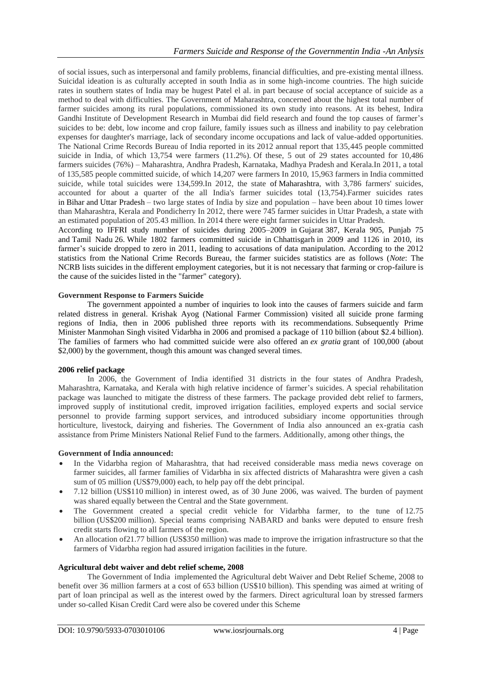of social issues, such as interpersonal and family problems, financial difficulties, and pre-existing mental illness. Suicidal ideation is as culturally accepted in south India as in some high-income countries. The high suicide rates in southern states of India may be hugest Patel el al. in part because of social acceptance of suicide as a method to deal with difficulties. The Government of Maharashtra, concerned about the highest total number of farmer suicides among its rural populations, commissioned its own study into reasons. At its behest, Indira Gandhi Institute of Development Research in Mumbai did field research and found the top causes of farmer"s suicides to be: debt, low income and crop failure, family issues such as illness and inability to pay celebration expenses for daughter's marriage, lack of secondary income occupations and lack of value-added opportunities. The National Crime Records Bureau of India reported in its 2012 annual report that 135,445 people committed suicide in India, of which 13,754 were farmers (11.2%). Of these, 5 out of 29 states accounted for 10,486 farmers suicides (76%) – Maharashtra, Andhra Pradesh, Karnataka, Madhya Pradesh and Kerala.In 2011, a total of 135,585 people committed suicide, of which 14,207 were farmers In 2010, 15,963 farmers in India committed suicide, while total suicides were 134,599.In 2012, the state of [Maharashtra,](https://en.wikipedia.org/wiki/Maharashtra) with 3,786 farmers' suicides, accounted for about a quarter of the all India's farmer suicides total (13,754).Farmer suicides rates in [Bihar](https://en.wikipedia.org/wiki/Bihar) and [Uttar Pradesh](https://en.wikipedia.org/wiki/Uttar_Pradesh) – two large states of India by size and population – have been about 10 times lower than Maharashtra, Kerala and Pondicherry In 2012, there were 745 farmer suicides in Uttar Pradesh, a state with an estimated population of 205.43 million. In 2014 there were eight farmer suicides in Uttar Pradesh.

According to IFFRI study number of suicides during 2005–2009 in [Gujarat](https://en.wikipedia.org/wiki/Gujarat) 387, Kerala 905, Punjab 75 and [Tamil Nadu](https://en.wikipedia.org/wiki/Tamil_Nadu) 26. While 1802 farmers committed suicide in [Chhattisgarh](https://en.wikipedia.org/wiki/Chhattisgarh) in 2009 and 1126 in 2010, its farmer"s suicide dropped to zero in 2011, leading to accusations of data manipulation. According to the 2012 statistics from the [National Crime Records Bureau,](https://en.wikipedia.org/wiki/National_Crime_Records_Bureau) the farmer suicides statistics are as follows (*Note*: The NCRB lists suicides in the different employment categories, but it is not necessary that farming or crop-failure is the cause of the suicides listed in the "farmer" category).

## **Government Response to Farmers Suicide**

The government appointed a number of inquiries to look into the causes of farmers suicide and farm related distress in general. Krishak Ayog (National Farmer Commission) visited all suicide prone farming regions of India, then in 2006 published three reports with its recommendations. Subsequently Prime Minister [Manmohan Singh](https://en.wikipedia.org/wiki/Manmohan_Singh) visited Vidarbha in 2006 and promised a package of 110 billion (about \$2.4 billion). The families of farmers who had committed suicide were also offered an *ex gratia* grant of 100,000 (about \$2,000) by the government, though this amount was changed several times.

#### **2006 relief package**

In 2006, the Government of India identified 31 districts in the four states of Andhra Pradesh, Maharashtra, Karnataka, and Kerala with high relative incidence of farmer"s suicides. A special rehabilitation package was launched to mitigate the distress of these farmers. The package provided debt relief to farmers, improved supply of institutional credit, improved irrigation facilities, employed experts and social service personnel to provide farming support services, and introduced subsidiary income opportunities through horticulture, livestock, dairying and fisheries. The Government of India also announced an ex-gratia cash assistance from Prime Ministers National Relief Fund to the farmers. Additionally, among other things, the

#### **Government of India announced:**

- In the Vidarbha region of Maharashtra, that had received considerable mass media news coverage on farmer suicides, all farmer families of Vidarbha in six affected districts of Maharashtra were given a cash sum of 05 million (US\$79,000) each, to help pay off the debt principal.
- 7.12 billion (US\$110 million) in interest owed, as of 30 June 2006, was waived. The burden of payment was shared equally between the Central and the State government.
- The Government created a special credit vehicle for Vidarbha farmer, to the tune of 12.75 billion (US\$200 million). Special teams comprising NABARD and banks were deputed to ensure fresh credit starts flowing to all farmers of the region.
- An allocation of21.77 billion (US\$350 million) was made to improve the irrigation infrastructure so that the farmers of Vidarbha region had assured irrigation facilities in the future.

#### **Agricultural debt waiver and debt relief scheme, 2008**

The Government of India implemented the Agricultural debt Waiver and Debt Relief Scheme, 2008 to benefit over 36 million farmers at a cost of 653 billion (US\$10 billion). This spending was aimed at writing of part of loan principal as well as the interest owed by the farmers. Direct agricultural loan by stressed farmers under so-called Kisan Credit Card were also be covered under this Scheme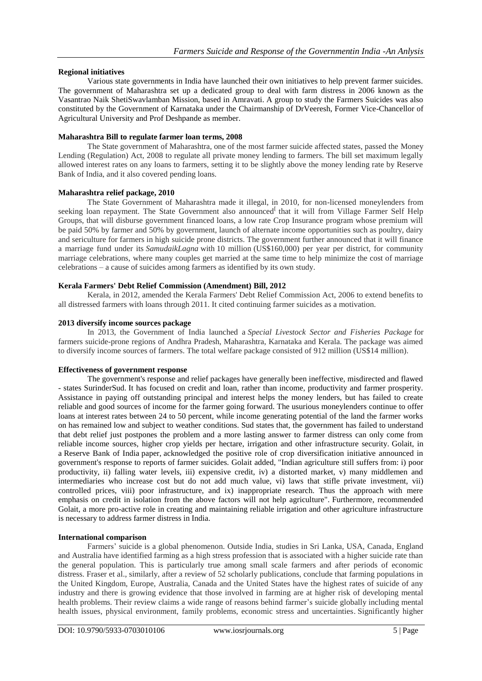# **Regional initiatives**

Various state governments in India have launched their own initiatives to help prevent farmer suicides. The government of Maharashtra set up a dedicated group to deal with farm distress in 2006 known as the Vasantrao Naik ShetiSwavlamban Mission, based in [Amravati.](https://en.wikipedia.org/wiki/Amravati) A group to study the Farmers Suicides was also constituted by the Government of Karnataka under the Chairmanship of DrVeeresh, Former Vice-Chancellor of Agricultural University and Prof Deshpande as member.

# **Maharashtra Bill to regulate farmer loan terms, 2008**

The State government of Maharashtra, one of the most farmer suicide affected states, passed the Money Lending (Regulation) Act, 2008 to regulate all private money lending to farmers. The bill set maximum legally allowed interest rates on any loans to farmers, setting it to be slightly above the money lending rate by Reserve Bank of India, and it also covered pending loans.

## **Maharashtra relief package, 2010**

The State Government of Maharashtra made it illegal, in 2010, for non-licensed moneylenders from seeking loan repayment. The State Government also announced that it will from Village Farmer Self Help Groups, that will disburse government financed loans, a low rate Crop Insurance program whose premium will be paid 50% by farmer and 50% by government, launch of alternate income opportunities such as poultry, dairy and sericulture for farmers in high suicide prone districts. The government further announced that it will finance a marriage fund under its *SamudaikLagna* with 10 million (US\$160,000) per year per district, for community marriage celebrations, where many couples get married at the same time to help minimize the cost of marriage celebrations – a cause of suicides among farmers as identified by its own study.

# **Kerala Farmers' Debt Relief Commission (Amendment) Bill, 2012**

Kerala, in 2012, amended the Kerala Farmers' Debt Relief Commission Act, 2006 to extend benefits to all distressed farmers with loans through 2011. It cited continuing farmer suicides as a motivation.

# **2013 diversify income sources package**

In 2013, the Government of India launched a *Special Livestock Sector and Fisheries Package* for farmers suicide-prone regions of Andhra Pradesh, Maharashtra, Karnataka and Kerala. The package was aimed to diversify income sources of farmers. The total welfare package consisted of 912 million (US\$14 million).

# **Effectiveness of government response**

The government's response and relief packages have generally been ineffective, misdirected and flawed - states SurinderSud. It has focused on credit and loan, rather than income, productivity and farmer prosperity. Assistance in paying off outstanding principal and interest helps the money lenders, but has failed to create reliable and good sources of income for the farmer going forward. The usurious moneylenders continue to offer loans at interest rates between 24 to 50 percent, while income generating potential of the land the farmer works on has remained low and subject to weather conditions. Sud states that, the government has failed to understand that debt relief just postpones the problem and a more lasting answer to farmer distress can only come from reliable income sources, higher crop yields per hectare, irrigation and other infrastructure security. Golait, in a [Reserve Bank of India](https://en.wikipedia.org/wiki/Reserve_Bank_of_India) paper, acknowledged the positive role of crop diversification initiative announced in government's response to reports of farmer suicides. Golait added, "Indian agriculture still suffers from: i) poor productivity, ii) falling water levels, iii) expensive credit, iv) a distorted market, v) many middlemen and intermediaries who increase cost but do not add much value, vi) laws that stifle private investment, vii) controlled prices, viii) poor infrastructure, and ix) inappropriate research. Thus the approach with mere emphasis on credit in isolation from the above factors will not help agriculture". Furthermore, recommended Golait, a more pro-active role in creating and maintaining reliable irrigation and other agriculture infrastructure is necessary to address farmer distress in India.

# **International comparison**

Farmers" suicide is a global phenomenon. Outside India, studies in Sri Lanka, USA, Canada, England and Australia have identified farming as a high stress profession that is associated with a higher suicide rate than the general population. This is particularly true among small scale farmers and after periods of economic distress. Fraser et al., similarly, after a review of 52 scholarly publications, conclude that farming populations in the United Kingdom, Europe, Australia, Canada and the United States have the highest rates of suicide of any industry and there is growing evidence that those involved in farming are at higher risk of developing mental health problems. Their review claims a wide range of reasons behind farmer"s suicide globally including mental health issues, physical environment, family problems, economic stress and uncertainties. Significantly higher